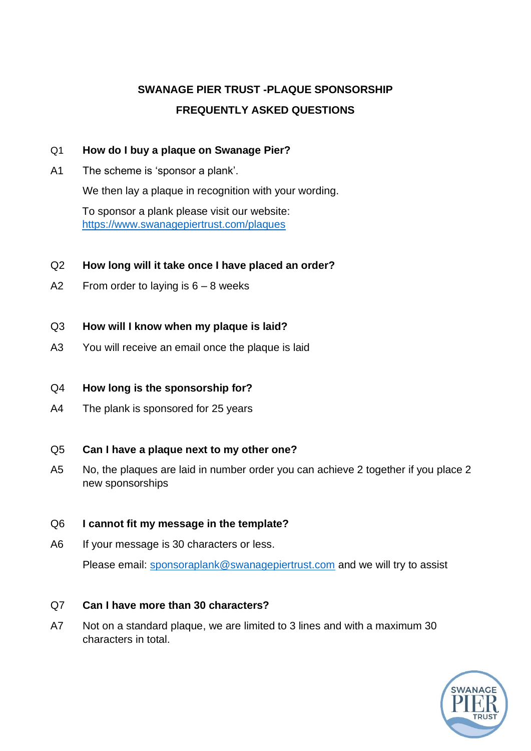# **SWANAGE PIER TRUST -PLAQUE SPONSORSHIP FREQUENTLY ASKED QUESTIONS**

### Q1 **How do I buy a plaque on Swanage Pier?**

A1 The scheme is 'sponsor a plank'.

We then lay a plaque in recognition with your wording.

To sponsor a plank please visit our website: <https://www.swanagepiertrust.com/plaques>

### Q2 **How long will it take once I have placed an order?**

A2 From order to laying is  $6 - 8$  weeks

### Q3 **How will I know when my plaque is laid?**

A3 You will receive an email once the plaque is laid

# Q4 **How long is the sponsorship for?**

A4 The plank is sponsored for 25 years

# Q5 **Can I have a plaque next to my other one?**

A5 No, the plaques are laid in number order you can achieve 2 together if you place 2 new sponsorships

# Q6 **I cannot fit my message in the template?**

A6 If your message is 30 characters or less.

Please email: [sponsoraplank@swanagepiertrust.com](mailto:sponsoraplank@swanagepiertrust.com) and we will try to assist

# Q7 **Can I have more than 30 characters?**

A7 Not on a standard plaque, we are limited to 3 lines and with a maximum 30 characters in total.